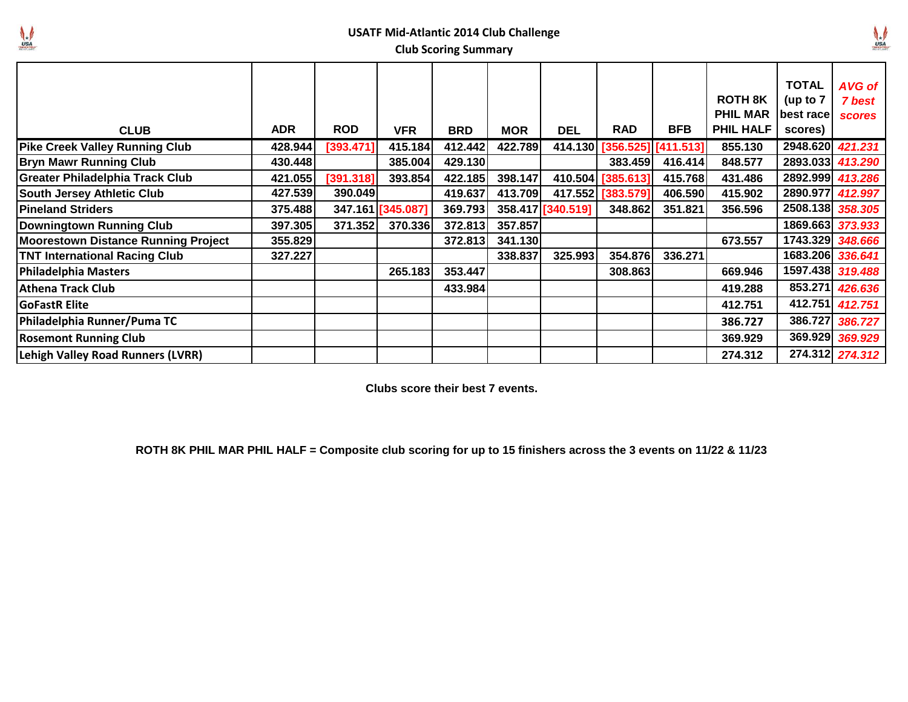

## **USATF Mid-Atlantic 2014 Club Challenge Club Scoring Summary**

|            |            |                    |                                                      |            |                                                                           |                              |            | <b>ROTH 8K</b>                                                                                                    | <b>TOTAL</b><br>(up to $7$                       | AVG of<br>7 best<br><b>scores</b> |
|------------|------------|--------------------|------------------------------------------------------|------------|---------------------------------------------------------------------------|------------------------------|------------|-------------------------------------------------------------------------------------------------------------------|--------------------------------------------------|-----------------------------------|
| <b>ADR</b> | <b>ROD</b> | <b>VFR</b>         | <b>BRD</b>                                           | <b>MOR</b> | <b>DEL</b>                                                                | <b>RAD</b>                   | <b>BFB</b> | <b>PHIL HALF</b>                                                                                                  | scores)                                          |                                   |
| 428.944    | [393.471]  | 415.184            |                                                      | 422.789    |                                                                           |                              |            | 855.130                                                                                                           | 2948.620 421.231                                 |                                   |
| 430.448    |            | 385.004            |                                                      |            |                                                                           |                              |            | 848.577                                                                                                           | 2893.033 413.290                                 |                                   |
|            |            | 393.854            |                                                      | 398.147    |                                                                           |                              |            | 431.486                                                                                                           | 2892.999 413.286                                 |                                   |
| 427.539    |            |                    | 419.637                                              | 413.709    |                                                                           |                              |            | 415.902                                                                                                           | 2890.977 412.997                                 |                                   |
| 375.488    |            |                    |                                                      |            |                                                                           |                              | 351.821    | 356.596                                                                                                           | 2508.138 358.305                                 |                                   |
| 397.305    |            | 370.336            |                                                      | 357.857    |                                                                           |                              |            |                                                                                                                   | 1869.663 373.933                                 |                                   |
|            |            |                    |                                                      |            |                                                                           |                              |            | 673.557                                                                                                           | 1743.329 348.666                                 |                                   |
| 327.227    |            |                    |                                                      | 338.837    | 325.993                                                                   |                              | 336.271    |                                                                                                                   | 1683.206 336.641                                 |                                   |
|            |            | 265.183            |                                                      |            |                                                                           |                              |            | 669.946                                                                                                           | 1597.438 319.488                                 |                                   |
|            |            |                    |                                                      |            |                                                                           |                              |            | 419.288                                                                                                           |                                                  | 853.271 426.636                   |
|            |            |                    |                                                      |            |                                                                           |                              |            | 412.751                                                                                                           |                                                  | 412.751 412.751                   |
|            |            |                    |                                                      |            |                                                                           |                              |            | 386.727                                                                                                           |                                                  | 386.727 386.727                   |
|            |            |                    |                                                      |            |                                                                           |                              |            | 369.929                                                                                                           |                                                  | 369.929 369.929                   |
|            |            |                    |                                                      |            |                                                                           |                              |            | 274.312                                                                                                           |                                                  | 274.312 274.312                   |
|            |            | 421.055<br>355.829 | [391.318]<br>390.049<br>347.161 [345.087]<br>371.352 | 372.813    | 412.442<br>429.130<br>422.185<br>369.793<br>372.813<br>353.447<br>433.984 | 358.417 [340.519]<br>341.130 |            | 414.130 [356.525] [411.513]<br>383.459<br>410.504 [385.613]<br>417.552 [383.579]<br>348.862<br>354.876<br>308.863 | <b>PHIL MAR</b><br>416.414<br>415.768<br>406.590 | best race                         |

**Clubs score their best 7 events.**

**ROTH 8K PHIL MAR PHIL HALF = Composite club scoring for up to 15 finishers across the 3 events on 11/22 & 11/23**

 $\mathbf{V}_{\mathbf{u}}$